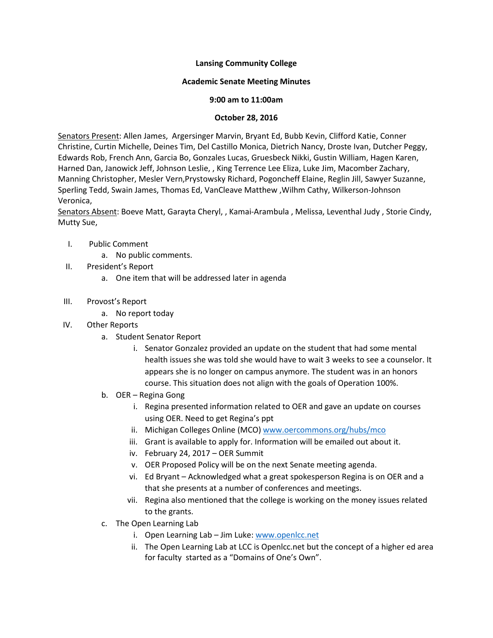### **Lansing Community College**

#### **Academic Senate Meeting Minutes**

#### **9:00 am to 11:00am**

#### **October 28, 2016**

Senators Present: Allen James, Argersinger Marvin, Bryant Ed, Bubb Kevin, Clifford Katie, Conner Christine, Curtin Michelle, Deines Tim, Del Castillo Monica, Dietrich Nancy, Droste Ivan, Dutcher Peggy, Edwards Rob, French Ann, Garcia Bo, Gonzales Lucas, Gruesbeck Nikki, Gustin William, Hagen Karen, Harned Dan, Janowick Jeff, Johnson Leslie, , King Terrence Lee Eliza, Luke Jim, Macomber Zachary, Manning Christopher, Mesler Vern,Prystowsky Richard, Pogoncheff Elaine, Reglin Jill, Sawyer Suzanne, Sperling Tedd, Swain James, Thomas Ed, VanCleave Matthew ,Wilhm Cathy, Wilkerson-Johnson Veronica,

Senators Absent: Boeve Matt, Garayta Cheryl, , Kamai-Arambula , Melissa, Leventhal Judy , Storie Cindy, Mutty Sue,

- I. Public Comment
	- a. No public comments.
- II. President's Report
	- a. One item that will be addressed later in agenda
- III. Provost's Report
	- a. No report today
- IV. Other Reports
	- a. Student Senator Report
		- i. Senator Gonzalez provided an update on the student that had some mental health issues she was told she would have to wait 3 weeks to see a counselor. It appears she is no longer on campus anymore. The student was in an honors course. This situation does not align with the goals of Operation 100%.
	- b. OER Regina Gong
		- i. Regina presented information related to OER and gave an update on courses using OER. Need to get Regina's ppt
		- ii. Michigan Colleges Online (MCO) [www.oercommons.org/hubs/mco](http://www.oercommons.org/hubs/mco)
		- iii. Grant is available to apply for. Information will be emailed out about it.
		- iv. February 24, 2017 OER Summit
		- v. OER Proposed Policy will be on the next Senate meeting agenda.
		- vi. Ed Bryant Acknowledged what a great spokesperson Regina is on OER and a that she presents at a number of conferences and meetings.
		- vii. Regina also mentioned that the college is working on the money issues related to the grants.
	- c. The Open Learning Lab
		- i. Open Learning Lab Jim Luke[: www.openlcc.net](http://www.openlcc.net/)
		- ii. The Open Learning Lab at LCC is Openlcc.net but the concept of a higher ed area for faculty started as a "Domains of One's Own".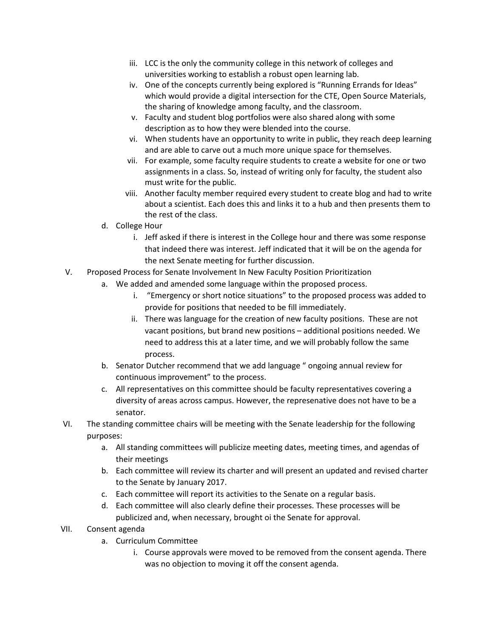- iii. LCC is the only the community college in this network of colleges and universities working to establish a robust open learning lab.
- iv. One of the concepts currently being explored is "Running Errands for Ideas" which would provide a digital intersection for the CTE, Open Source Materials, the sharing of knowledge among faculty, and the classroom.
- v. Faculty and student blog portfolios were also shared along with some description as to how they were blended into the course.
- vi. When students have an opportunity to write in public, they reach deep learning and are able to carve out a much more unique space for themselves.
- vii. For example, some faculty require students to create a website for one or two assignments in a class. So, instead of writing only for faculty, the student also must write for the public.
- viii. Another faculty member required every student to create blog and had to write about a scientist. Each does this and links it to a hub and then presents them to the rest of the class.
- d. College Hour
	- i. Jeff asked if there is interest in the College hour and there was some response that indeed there was interest. Jeff indicated that it will be on the agenda for the next Senate meeting for further discussion.
- V. Proposed Process for Senate Involvement In New Faculty Position Prioritization
	- a. We added and amended some language within the proposed process.
		- i. "Emergency or short notice situations" to the proposed process was added to provide for positions that needed to be fill immediately.
		- ii. There was language for the creation of new faculty positions. These are not vacant positions, but brand new positions – additional positions needed. We need to address this at a later time, and we will probably follow the same process.
	- b. Senator Dutcher recommend that we add language " ongoing annual review for continuous improvement" to the process.
	- c. All representatives on this committee should be faculty representatives covering a diversity of areas across campus. However, the represenative does not have to be a senator.
- VI. The standing committee chairs will be meeting with the Senate leadership for the following purposes:
	- a. All standing committees will publicize meeting dates, meeting times, and agendas of their meetings
	- b. Each committee will review its charter and will present an updated and revised charter to the Senate by January 2017.
	- c. Each committee will report its activities to the Senate on a regular basis.
	- d. Each committee will also clearly define their processes. These processes will be publicized and, when necessary, brought oi the Senate for approval.
- VII. Consent agenda
	- a. Curriculum Committee
		- i. Course approvals were moved to be removed from the consent agenda. There was no objection to moving it off the consent agenda.